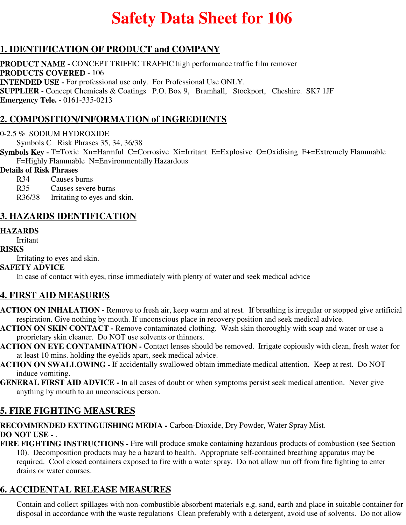# **Safety Data Sheet for 106**

## **1. IDENTIFICATION OF PRODUCT and COMPANY**

**PRODUCT NAME -** CONCEPT TRIFFIC TRAFFIC high performance traffic film remover **PRODUCTS COVERED -** 106 **INTENDED USE -** For professional use only. For Professional Use ONLY. **SUPPLIER -** Concept Chemicals & Coatings P.O. Box 9, Bramhall, Stockport, Cheshire. SK7 1JF **Emergency Tele. -** 0161-335-0213

## **2. COMPOSITION/INFORMATION of INGREDIENTS**

#### 0-2.5 % SODIUM HYDROXIDE

Symbols C Risk Phrases 35, 34, 36/38

**Symbols Key -** T=Toxic Xn=Harmful C=Corrosive Xi=Irritant E=Explosive O=Oxidising F+=Extremely Flammable F=Highly Flammable N=Environmentally Hazardous

#### **Details of Risk Phrases**

R34 Causes burns

R35 Causes severe burns

R36/38 Irritating to eyes and skin.

## **3. HAZARDS IDENTIFICATION**

#### **HAZARDS**

Irritant

#### **RISKS**

Irritating to eyes and skin.

#### **SAFETY ADVICE**

In case of contact with eyes, rinse immediately with plenty of water and seek medical advice

#### **4. FIRST AID MEASURES**

- **ACTION ON INHALATION** Remove to fresh air, keep warm and at rest. If breathing is irregular or stopped give artificial respiration. Give nothing by mouth. If unconscious place in recovery position and seek medical advice.
- **ACTION ON SKIN CONTACT** Remove contaminated clothing. Wash skin thoroughly with soap and water or use a proprietary skin cleaner. Do NOT use solvents or thinners.
- **ACTION ON EYE CONTAMINATION** Contact lenses should be removed. Irrigate copiously with clean, fresh water for at least 10 mins. holding the eyelids apart, seek medical advice.
- **ACTION ON SWALLOWING** If accidentally swallowed obtain immediate medical attention. Keep at rest. Do NOT induce vomiting.
- **GENERAL FIRST AID ADVICE** In all cases of doubt or when symptoms persist seek medical attention. Never give anything by mouth to an unconscious person.

## **5. FIRE FIGHTING MEASURES**

**RECOMMENDED EXTINGUISHING MEDIA -** Carbon-Dioxide, Dry Powder, Water Spray Mist. **DO NOT USE -** .

**FIRE FIGHTING INSTRUCTIONS -** Fire will produce smoke containing hazardous products of combustion (see Section 10). Decomposition products may be a hazard to health. Appropriate self-contained breathing apparatus may be required. Cool closed containers exposed to fire with a water spray. Do not allow run off from fire fighting to enter drains or water courses.

## **6. ACCIDENTAL RELEASE MEASURES**

Contain and collect spillages with non-combustible absorbent materials e.g. sand, earth and place in suitable container for disposal in accordance with the waste regulations Clean preferably with a detergent, avoid use of solvents. Do not allow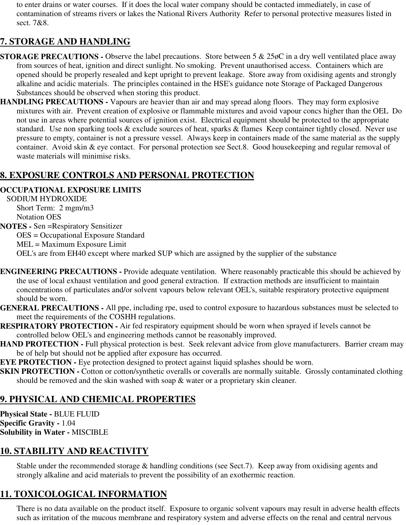to enter drains or water courses. If it does the local water company should be contacted immediately, in case of contamination of streams rivers or lakes the National Rivers Authority Refer to personal protective measures listed in sect. 7&8.

## **7. STORAGE AND HANDLING**

- **STORAGE PRECAUTIONS -** Observe the label precautions. Store between 5 & 25 $\sigma$ C in a dry well ventilated place away from sources of heat, ignition and direct sunlight. No smoking. Prevent unauthorised access. Containers which are opened should be properly resealed and kept upright to prevent leakage. Store away from oxidising agents and strongly alkaline and acidic materials. The principles contained in the HSE's guidance note Storage of Packaged Dangerous Substances should be observed when storing this product.
- **HANDLING PRECAUTIONS** Vapours are heavier than air and may spread along floors. They may form explosive mixtures with air. Prevent creation of explosive or flammable mixtures and avoid vapour concs higher than the OEL Do not use in areas where potential sources of ignition exist. Electrical equipment should be protected to the appropriate standard. Use non sparking tools & exclude sources of heat, sparks & flames Keep container tightly closed. Never use pressure to empty, container is not a pressure vessel. Always keep in containers made of the same material as the supply container. Avoid skin & eye contact. For personal protection see Sect.8. Good housekeeping and regular removal of waste materials will minimise risks.

## **8. EXPOSURE CONTROLS AND PERSONAL PROTECTION**

#### **OCCUPATIONAL EXPOSURE LIMITS**

SODIUM HYDROXIDE Short Term: 2 mgm/m3 Notation OES **NOTES -** Sen =Respiratory Sensitizer OES = Occupational Exposure Standard MEL = Maximum Exposure Limit OEL's are from EH40 except where marked SUP which are assigned by the supplier of the substance

- **ENGINEERING PRECAUTIONS** Provide adequate ventilation. Where reasonably practicable this should be achieved by the use of local exhaust ventilation and good general extraction. If extraction methods are insufficient to maintain concentrations of particulates and/or solvent vapours below relevant OEL's, suitable respiratory protective equipment should be worn.
- **GENERAL PRECAUTIONS** All ppe, including rpe, used to control exposure to hazardous substances must be selected to meet the requirements of the COSHH regulations.
- **RESPIRATORY PROTECTION** Air fed respiratory equipment should be worn when sprayed if levels cannot be controlled below OEL's and engineering methods cannot be reasonably improved.
- **HAND PROTECTION Full physical protection is best. Seek relevant advice from glove manufacturers. Barrier cream may** be of help but should not be applied after exposure has occurred.
- **EYE PROTECTION -** Eye protection designed to protect against liquid splashes should be worn.
- **SKIN PROTECTION -** Cotton or cotton/synthetic overalls or coveralls are normally suitable. Grossly contaminated clothing should be removed and the skin washed with soap & water or a proprietary skin cleaner.

# **9. PHYSICAL AND CHEMICAL PROPERTIES**

**Physical State -** BLUE FLUID **Specific Gravity -** 1.04 **Solubility in Water -** MISCIBLE

# **10. STABILITY AND REACTIVITY**

Stable under the recommended storage & handling conditions (see Sect.7). Keep away from oxidising agents and strongly alkaline and acid materials to prevent the possibility of an exothermic reaction.

# **11. TOXICOLOGICAL INFORMATION**

There is no data available on the product itself. Exposure to organic solvent vapours may result in adverse health effects such as irritation of the mucous membrane and respiratory system and adverse effects on the renal and central nervous